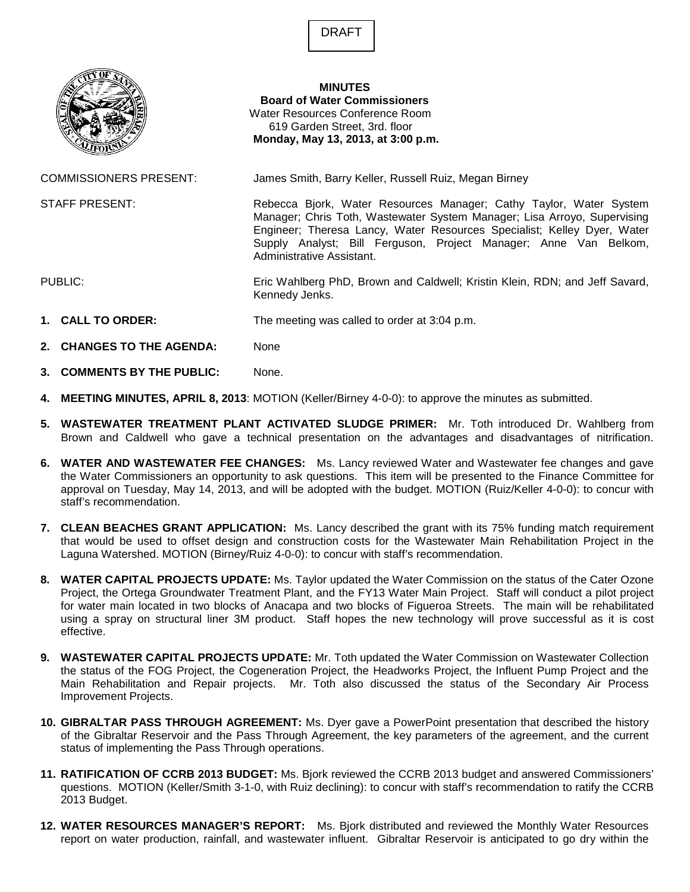



**MINUTES** 

**Board of Water Commissioners** Water Resources Conference Room 619 Garden Street, 3rd. floor **Monday, May 13, 2013, at 3:00 p.m.**

COMMISSIONERS PRESENT: James Smith, Barry Keller, Russell Ruiz, Megan Birney

STAFF PRESENT: Rebecca Bjork, Water Resources Manager; Cathy Taylor, Water System Manager; Chris Toth, Wastewater System Manager; Lisa Arroyo, Supervising Engineer; Theresa Lancy, Water Resources Specialist; Kelley Dyer, Water Supply Analyst; Bill Ferguson, Project Manager; Anne Van Belkom, Administrative Assistant.

PUBLIC: Eric Wahlberg PhD, Brown and Caldwell; Kristin Klein, RDN; and Jeff Savard, Kennedy Jenks.

- **1. CALL TO ORDER:** The meeting was called to order at 3:04 p.m.
- **2. CHANGES TO THE AGENDA:** None
- **3. COMMENTS BY THE PUBLIC:** None.
- **4. MEETING MINUTES, APRIL 8, 2013**: MOTION (Keller/Birney 4-0-0): to approve the minutes as submitted.
- **5. WASTEWATER TREATMENT PLANT ACTIVATED SLUDGE PRIMER:** Mr. Toth introduced Dr. Wahlberg from Brown and Caldwell who gave a technical presentation on the advantages and disadvantages of nitrification.
- **6. WATER AND WASTEWATER FEE CHANGES:** Ms. Lancy reviewed Water and Wastewater fee changes and gave the Water Commissioners an opportunity to ask questions. This item will be presented to the Finance Committee for approval on Tuesday, May 14, 2013, and will be adopted with the budget. MOTION (Ruiz/Keller 4-0-0): to concur with staff's recommendation.
- **7. CLEAN BEACHES GRANT APPLICATION:** Ms. Lancy described the grant with its 75% funding match requirement that would be used to offset design and construction costs for the Wastewater Main Rehabilitation Project in the Laguna Watershed. MOTION (Birney/Ruiz 4-0-0): to concur with staff's recommendation.
- **8. WATER CAPITAL PROJECTS UPDATE:** Ms. Taylor updated the Water Commission on the status of the Cater Ozone Project, the Ortega Groundwater Treatment Plant, and the FY13 Water Main Project. Staff will conduct a pilot project for water main located in two blocks of Anacapa and two blocks of Figueroa Streets. The main will be rehabilitated using a spray on structural liner 3M product. Staff hopes the new technology will prove successful as it is cost effective.
- **9. WASTEWATER CAPITAL PROJECTS UPDATE:** Mr. Toth updated the Water Commission on Wastewater Collection the status of the FOG Project, the Cogeneration Project, the Headworks Project, the Influent Pump Project and the Main Rehabilitation and Repair projects. Mr. Toth also discussed the status of the Secondary Air Process Improvement Projects.
- **10. GIBRALTAR PASS THROUGH AGREEMENT:** Ms. Dyer gave a PowerPoint presentation that described the history of the Gibraltar Reservoir and the Pass Through Agreement, the key parameters of the agreement, and the current status of implementing the Pass Through operations.
- **11. RATIFICATION OF CCRB 2013 BUDGET:** Ms. Bjork reviewed the CCRB 2013 budget and answered Commissioners' questions. MOTION (Keller/Smith 3-1-0, with Ruiz declining): to concur with staff's recommendation to ratify the CCRB 2013 Budget.
- **12. WATER RESOURCES MANAGER'S REPORT:** Ms. Bjork distributed and reviewed the Monthly Water Resources report on water production, rainfall, and wastewater influent. Gibraltar Reservoir is anticipated to go dry within the